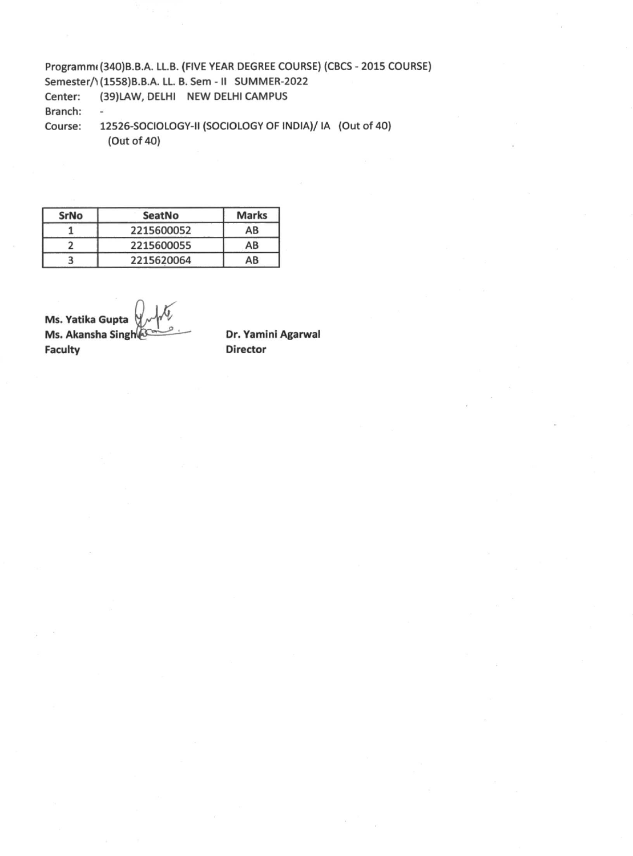Programm( (340)B.B.A. LL.B. (FIVE YEAR DEGREE COURSE) (CBCS - 2015 COURSE) Semester/1(1558)B.B.A. LL. B. Sem - II SUMMER-2022 Center: (39)LAW, DELHI NEW DELHI CAMPUS Branch: - Course: 12526-SOCIOLOGY-II (SOCIOLOGY OF INDIA)/ IA (Out of 40) (Out of 40)

| SrNo | <b>SeatNo</b> | <b>Marks</b> |
|------|---------------|--------------|
|      | 2215600052    | AB           |
|      | 2215600055    | AB           |
|      | 2215620064    | AB           |

**Ms. Yatika Gupta Ms. Akansha Singh Faculty**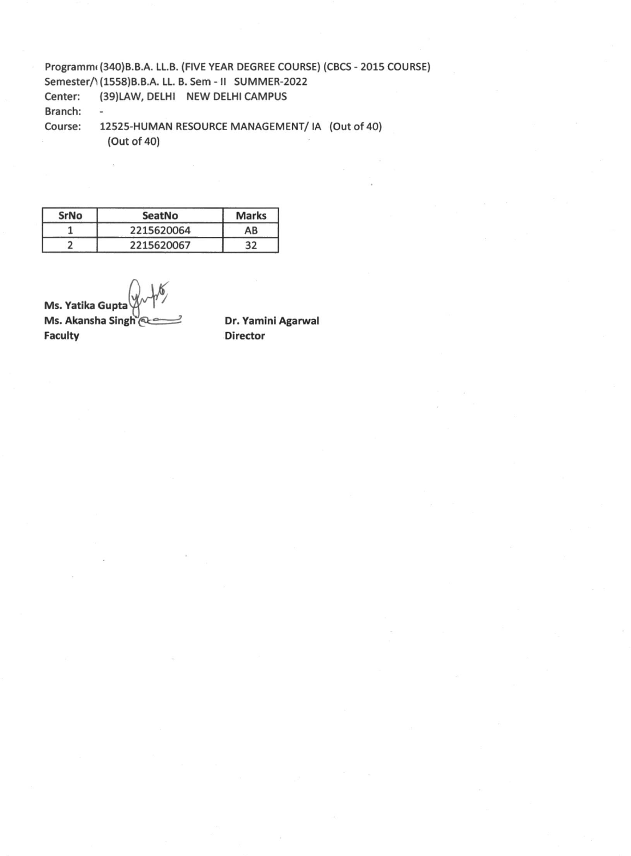Programm<sub>(340</sub>)B.B.A. LL.B. (FIVE YEAR DEGREE COURSE) (CBCS - 2015 COURSE) Semester/1(1558)B.B.A. LL. B. Sem - II SUMMER-2022 Center: (39)LAW, DELHI NEW DELHI CAMPUS Branch: - Course: 12525-HUMAN RESOURCE MANAGEMENT/ IA (Out of 40) (Out of 40)

**SrNo SeatNo Marks**  1 2215620064 AB 2 2215620067 32

**Ms. Yatika Gupt Ms. Akansha Singh @ Faculty**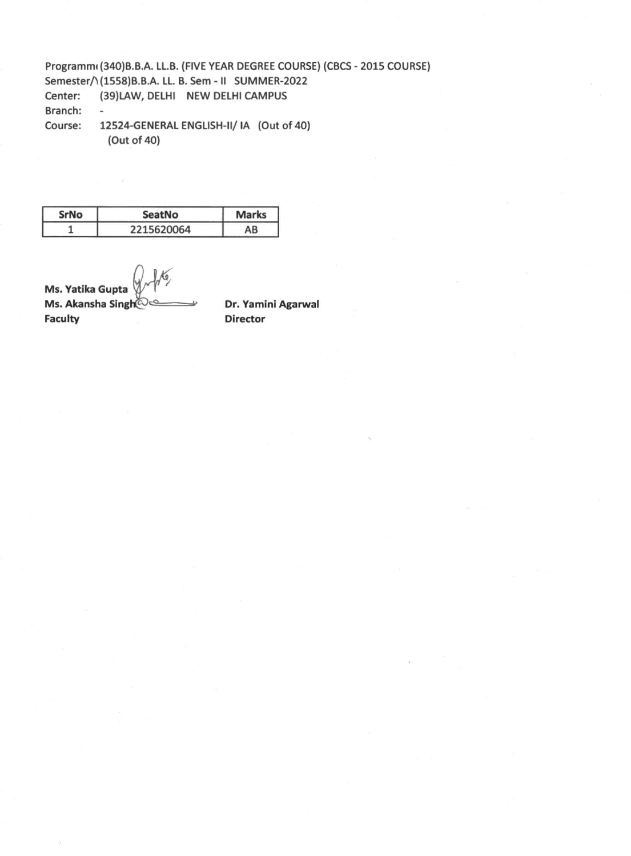Programmt (340)B.B.A. LL.B. (FIVE YEAR DEGREE COURSE) (CBCS - 2015 COURSE) Semester/1(1558)B.B.A. LL. B. Sem - II SUMMER-2022 Center: (39)LAW, DELHI NEW DELHI CAMPUS Branch:  $\omega$ Course: 12524-GENERAL ENGLISH-II/ IA (Out of 40) (Out of 40)

| SrNo | SeatNo     | <b>Marks</b> |
|------|------------|--------------|
|      | 2215620064 | AB           |

**Ms. Yatika Gupta Ms. Akansha Singh@es Faculty**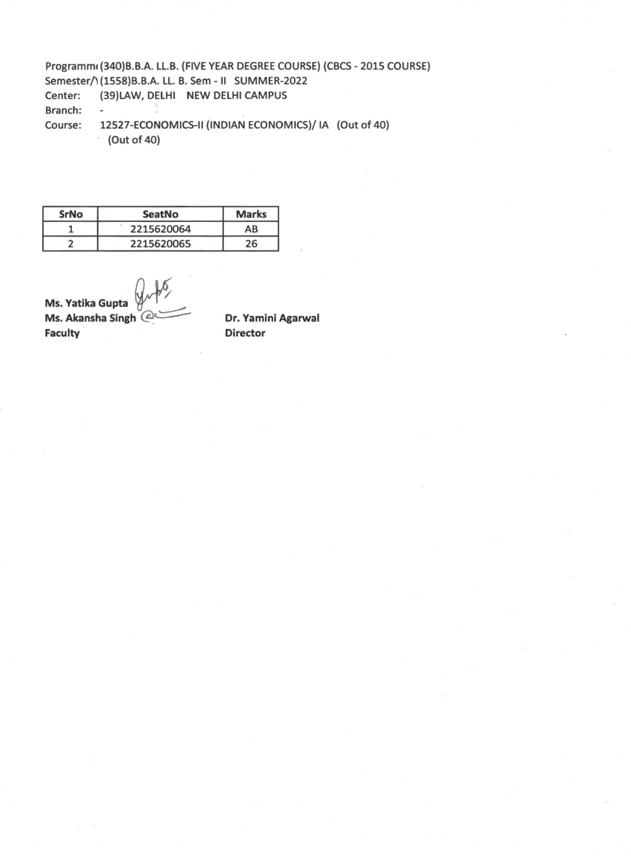Programm<sub><sup>(340)</sup>B.B.A. LL.B. (FIVE YEAR DEGREE COURSE) (CBCS - 2015 COURSE)</sub> Semester/1(1558)B.B.A. LL. B. Sem - II SUMMER-2022 Center: (39)LAW, DELHI NEW DELHI CAMPUS Branch:  $\overline{\phantom{a}}$ Course: 12527-ECONOMICS-II (INDIAN ECONOMICS)/ IA (Out of 40) (Out of 40)

**SrNo SeatNo Marks**  1 2215620064 AB 2 2215620065 26

**Ms. Yatika Gupta Ms. Akansha Singh-Faculty**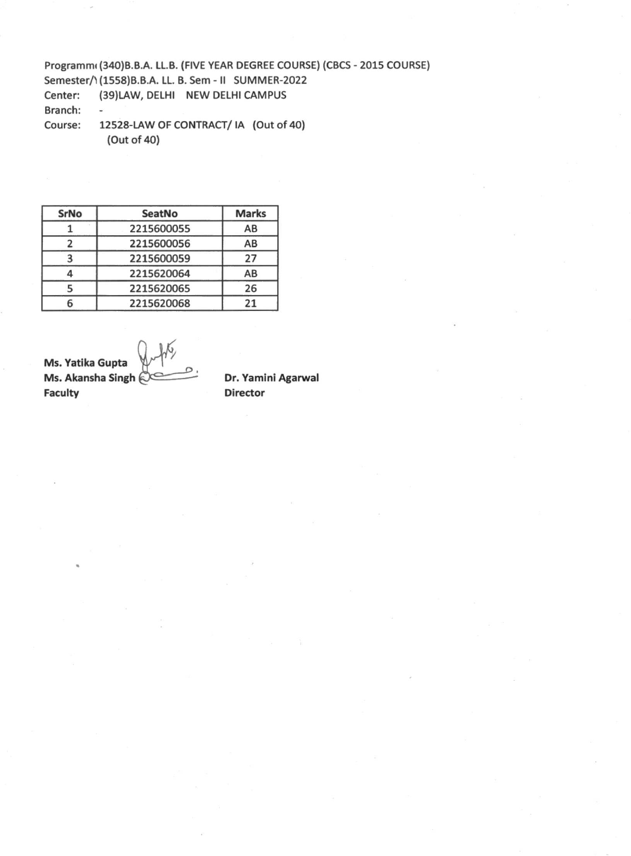Programm(340)B.B.A. LL.B. (FIVE YEAR DEGREE COURSE) (CBCS - 2015 COURSE) Semester/1(1558)B.B.A. LL. B. Sem - II SUMMER-2022 Center: (39)LAW, DELHI NEW DELHI CAMPUS Branch: - Course: 12528-LAW OF CONTRACT/ IA (Out of 40) (Out of 40)

| <b>SrNo</b> | <b>SeatNo</b> | <b>Marks</b> |
|-------------|---------------|--------------|
|             | 2215600055    | AB           |
|             | 2215600056    | AB           |
| З           | 2215600059    | 27           |
|             | 2215620064    | AB           |
|             | 2215620065    | 26           |
|             | 2215620068    | 21           |

**Ms. Yatika Gupta Ms. Akansha Singh Faculty**